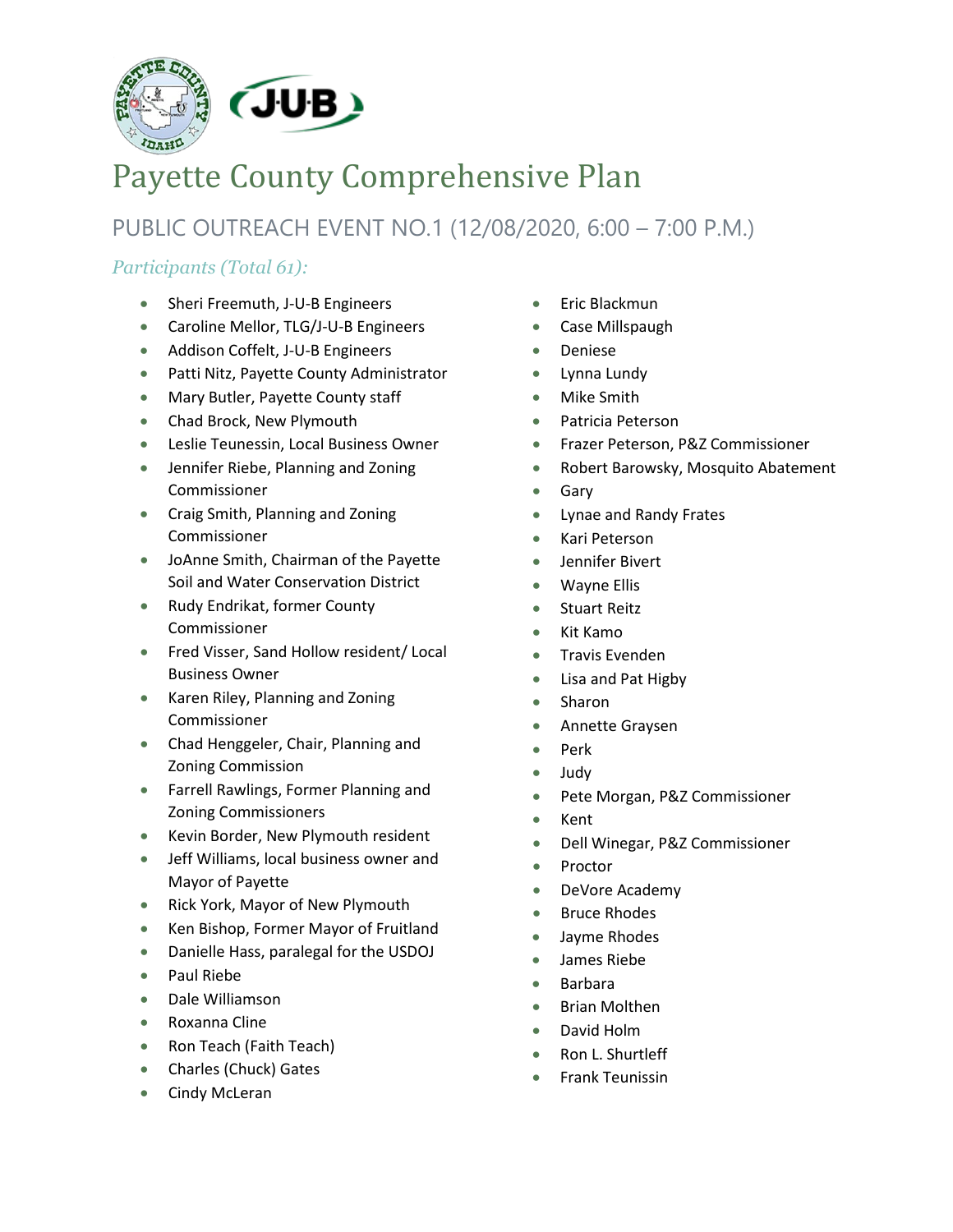

# Payette County Comprehensive Plan

PUBLIC OUTREACH EVENT NO.1 (12/08/2020, 6:00 – 7:00 P.M.)

## *Participants (Total 61):*

- Sheri Freemuth, J-U-B Engineers
- Caroline Mellor, TLG/J-U-B Engineers
- Addison Coffelt, J-U-B Engineers
- Patti Nitz, Payette County Administrator
- Mary Butler, Payette County staff
- Chad Brock, New Plymouth
- Leslie Teunessin, Local Business Owner
- Jennifer Riebe, Planning and Zoning Commissioner
- Craig Smith, Planning and Zoning Commissioner
- JoAnne Smith, Chairman of the Payette Soil and Water Conservation District
- Rudy Endrikat, former County Commissioner
- Fred Visser, Sand Hollow resident/ Local Business Owner
- Karen Riley, Planning and Zoning Commissioner
- Chad Henggeler, Chair, Planning and Zoning Commission
- Farrell Rawlings, Former Planning and Zoning Commissioners
- Kevin Border, New Plymouth resident
- Jeff Williams, local business owner and Mayor of Payette
- Rick York, Mayor of New Plymouth
- Ken Bishop, Former Mayor of Fruitland
- Danielle Hass, paralegal for the USDOJ
- Paul Riebe
- Dale Williamson
- Roxanna Cline
- Ron Teach (Faith Teach)
- Charles (Chuck) Gates
- Cindy McLeran
- Eric Blackmun
- Case Millspaugh
- Deniese
- Lynna Lundy
- Mike Smith
- Patricia Peterson
- Frazer Peterson, P&Z Commissioner
- Robert Barowsky, Mosquito Abatement
- Gary
- Lynae and Randy Frates
- Kari Peterson
- Jennifer Bivert
- Wayne Ellis
- Stuart Reitz
- Kit Kamo
- Travis Evenden
- Lisa and Pat Higby
- Sharon
- Annette Graysen
- Perk
- Judy
- Pete Morgan, P&Z Commissioner
- Kent
- Dell Winegar, P&Z Commissioner
- Proctor
- DeVore Academy
- Bruce Rhodes
- Jayme Rhodes
- James Riebe
- Barbara
- Brian Molthen
- David Holm
- Ron L. Shurtleff
- Frank Teunissin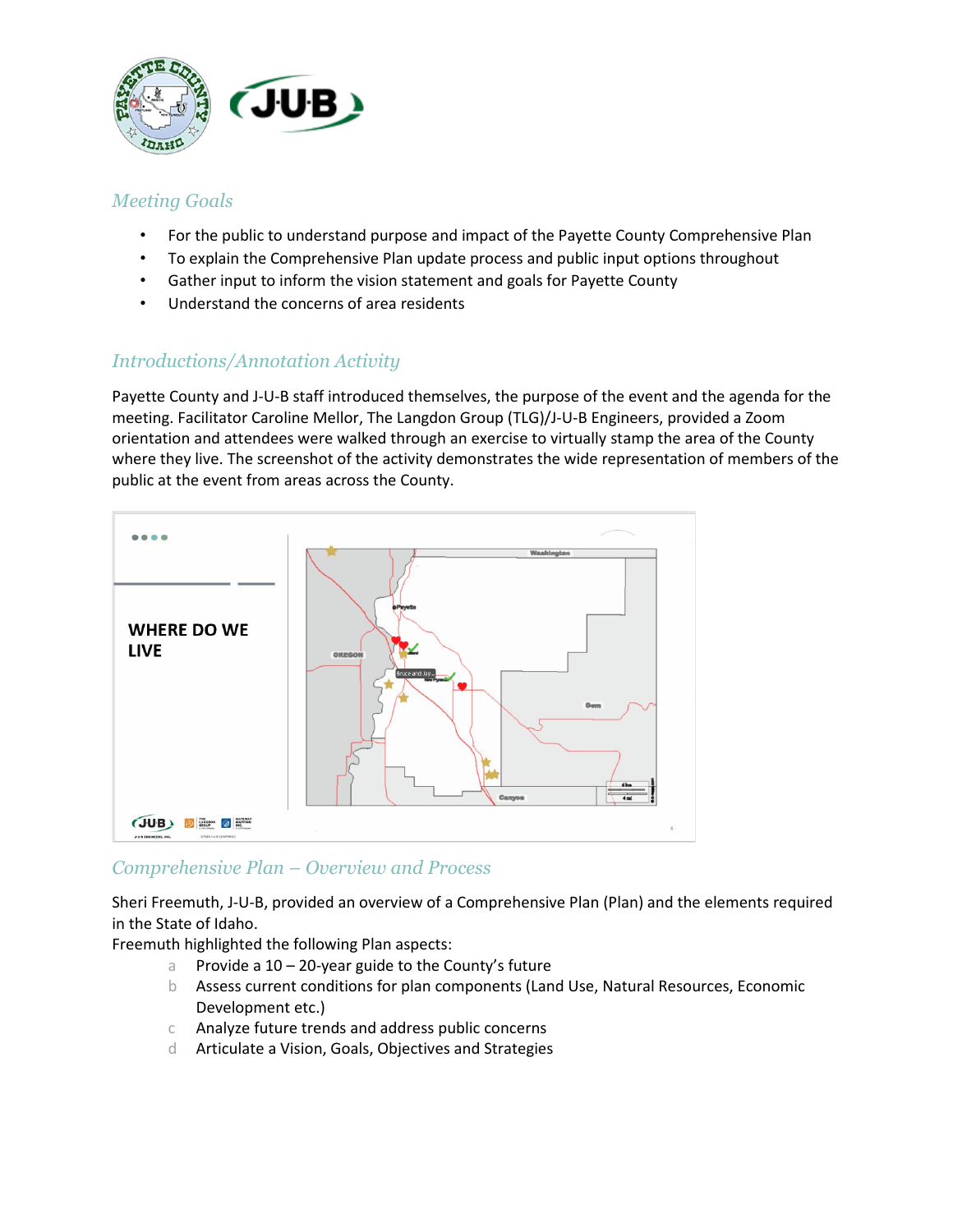

#### *Meeting Goals*

- For the public to understand purpose and impact of the Payette County Comprehensive Plan
- To explain the Comprehensive Plan update process and public input options throughout
- Gather input to inform the vision statement and goals for Payette County
- Understand the concerns of area residents

### *Introductions/Annotation Activity*

Payette County and J-U-B staff introduced themselves, the purpose of the event and the agenda for the meeting. Facilitator Caroline Mellor, The Langdon Group (TLG)/J-U-B Engineers, provided a Zoom orientation and attendees were walked through an exercise to virtually stamp the area of the County where they live. The screenshot of the activity demonstrates the wide representation of members of the public at the event from areas across the County.



#### *Comprehensive Plan – Overview and Process*

Sheri Freemuth, J-U-B, provided an overview of a Comprehensive Plan (Plan) and the elements required in the State of Idaho.

Freemuth highlighted the following Plan aspects:

- a Provide a 10 20-year guide to the County's future
- b Assess current conditions for plan components (Land Use, Natural Resources, Economic Development etc.)
- c Analyze future trends and address public concerns
- d Articulate a Vision, Goals, Objectives and Strategies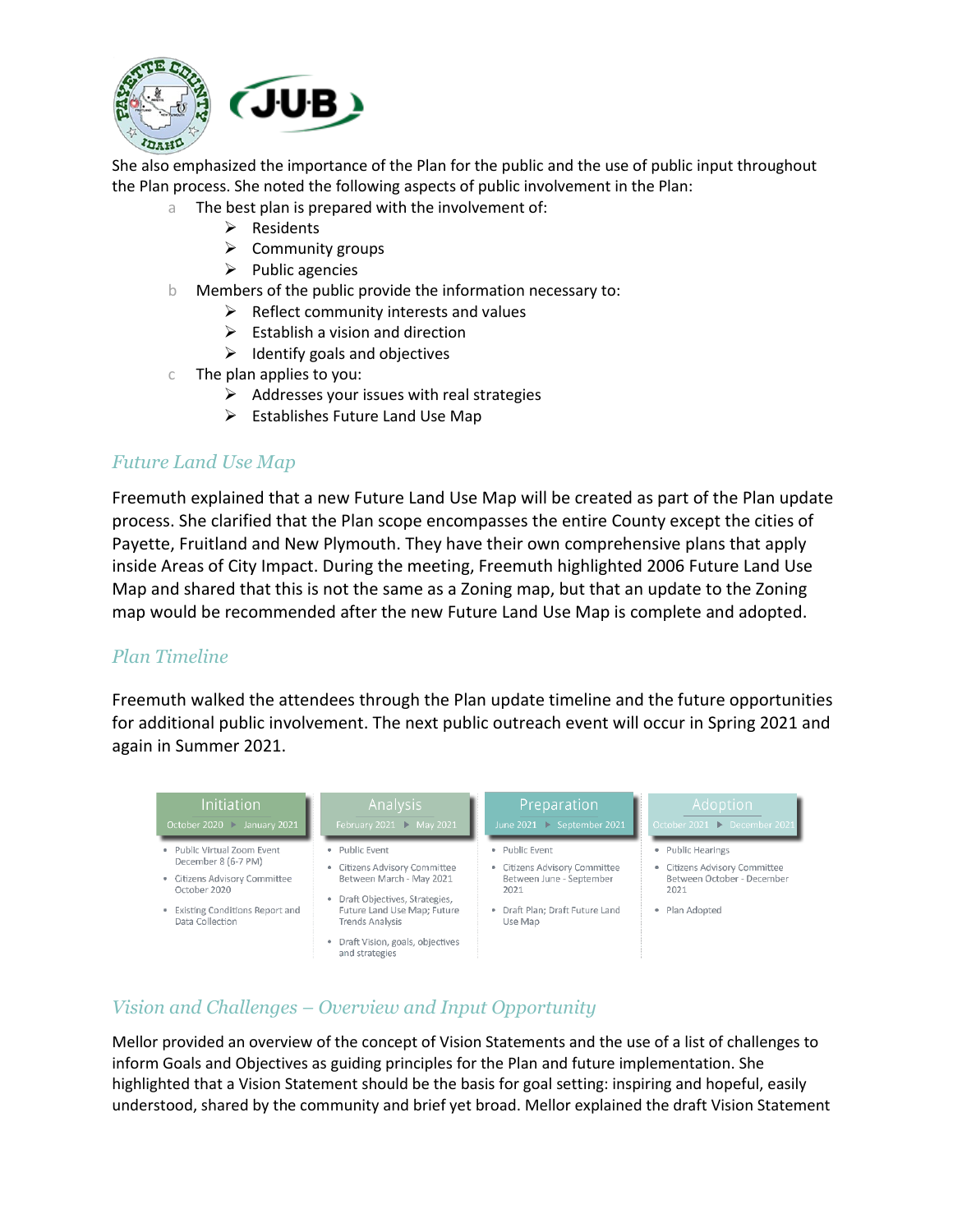

She also emphasized the importance of the Plan for the public and the use of public input throughout the Plan process. She noted the following aspects of public involvement in the Plan:

- a The best plan is prepared with the involvement of:
	- $\triangleright$  Residents
	- $\triangleright$  Community groups
	- $\triangleright$  Public agencies
- b Members of the public provide the information necessary to:
	- $\triangleright$  Reflect community interests and values
	- $\triangleright$  Establish a vision and direction
	- $\triangleright$  Identify goals and objectives
- c The plan applies to you:
	- $\triangleright$  Addresses your issues with real strategies
	- $\triangleright$  Establishes Future Land Use Map

#### *Future Land Use Map*

Freemuth explained that a new Future Land Use Map will be created as part of the Plan update process. She clarified that the Plan scope encompasses the entire County except the cities of Payette, Fruitland and New Plymouth. They have their own comprehensive plans that apply inside Areas of City Impact. During the meeting, Freemuth highlighted 2006 Future Land Use Map and shared that this is not the same as a Zoning map, but that an update to the Zoning map would be recommended after the new Future Land Use Map is complete and adopted.

#### *Plan Timeline*

Freemuth walked the attendees through the Plan update timeline and the future opportunities for additional public involvement. The next public outreach event will occur in Spring 2021 and again in Summer 2021.



## *Vision and Challenges – Overview and Input Opportunity*

Mellor provided an overview of the concept of Vision Statements and the use of a list of challenges to inform Goals and Objectives as guiding principles for the Plan and future implementation. She highlighted that a Vision Statement should be the basis for goal setting: inspiring and hopeful, easily understood, shared by the community and brief yet broad. Mellor explained the draft Vision Statement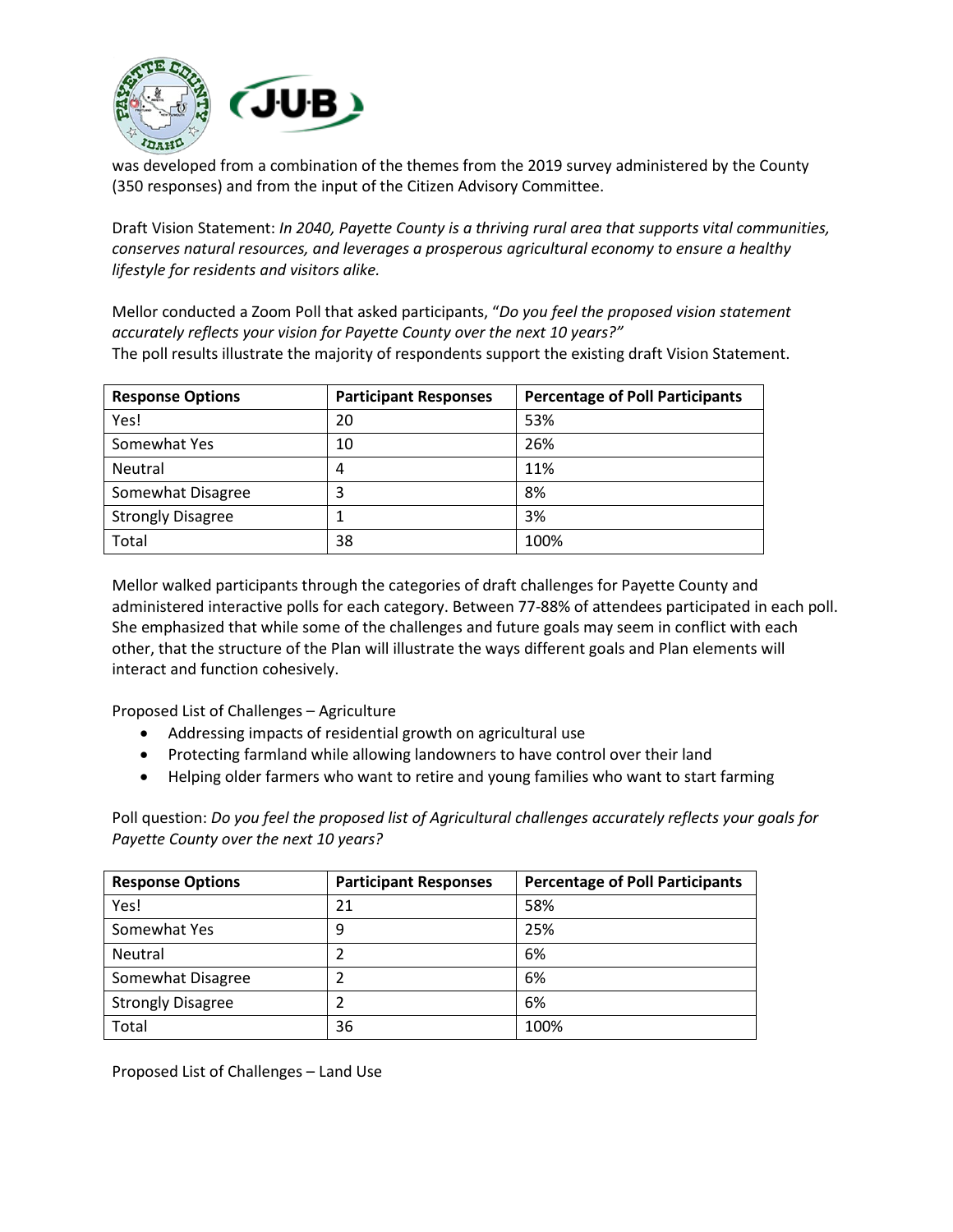

was developed from a combination of the themes from the 2019 survey administered by the County (350 responses) and from the input of the Citizen Advisory Committee.

Draft Vision Statement: *In 2040, Payette County is a thriving rural area that supports vital communities, conserves natural resources, and leverages a prosperous agricultural economy to ensure a healthy lifestyle for residents and visitors alike.*

Mellor conducted a Zoom Poll that asked participants, "*Do you feel the proposed vision statement accurately reflects your vision for Payette County over the next 10 years?"* The poll results illustrate the majority of respondents support the existing draft Vision Statement.

| <b>Response Options</b>  | <b>Participant Responses</b> | <b>Percentage of Poll Participants</b> |
|--------------------------|------------------------------|----------------------------------------|
| Yes!                     | 20                           | 53%                                    |
| Somewhat Yes             | 10                           | 26%                                    |
| Neutral                  | 4                            | 11%                                    |
| Somewhat Disagree        | 3                            | 8%                                     |
| <b>Strongly Disagree</b> |                              | 3%                                     |
| Total                    | 38                           | 100%                                   |

Mellor walked participants through the categories of draft challenges for Payette County and administered interactive polls for each category. Between 77-88% of attendees participated in each poll. She emphasized that while some of the challenges and future goals may seem in conflict with each other, that the structure of the Plan will illustrate the ways different goals and Plan elements will interact and function cohesively.

Proposed List of Challenges – Agriculture

- Addressing impacts of residential growth on agricultural use
- Protecting farmland while allowing landowners to have control over their land
- Helping older farmers who want to retire and young families who want to start farming

Poll question: *Do you feel the proposed list of Agricultural challenges accurately reflects your goals for Payette County over the next 10 years?*

| <b>Response Options</b>  | <b>Participant Responses</b> | <b>Percentage of Poll Participants</b> |
|--------------------------|------------------------------|----------------------------------------|
| Yes!                     | 21                           | 58%                                    |
| Somewhat Yes             | 9                            | 25%                                    |
| Neutral                  |                              | 6%                                     |
| Somewhat Disagree        |                              | 6%                                     |
| <b>Strongly Disagree</b> |                              | 6%                                     |
| Total                    | 36                           | 100%                                   |

Proposed List of Challenges – Land Use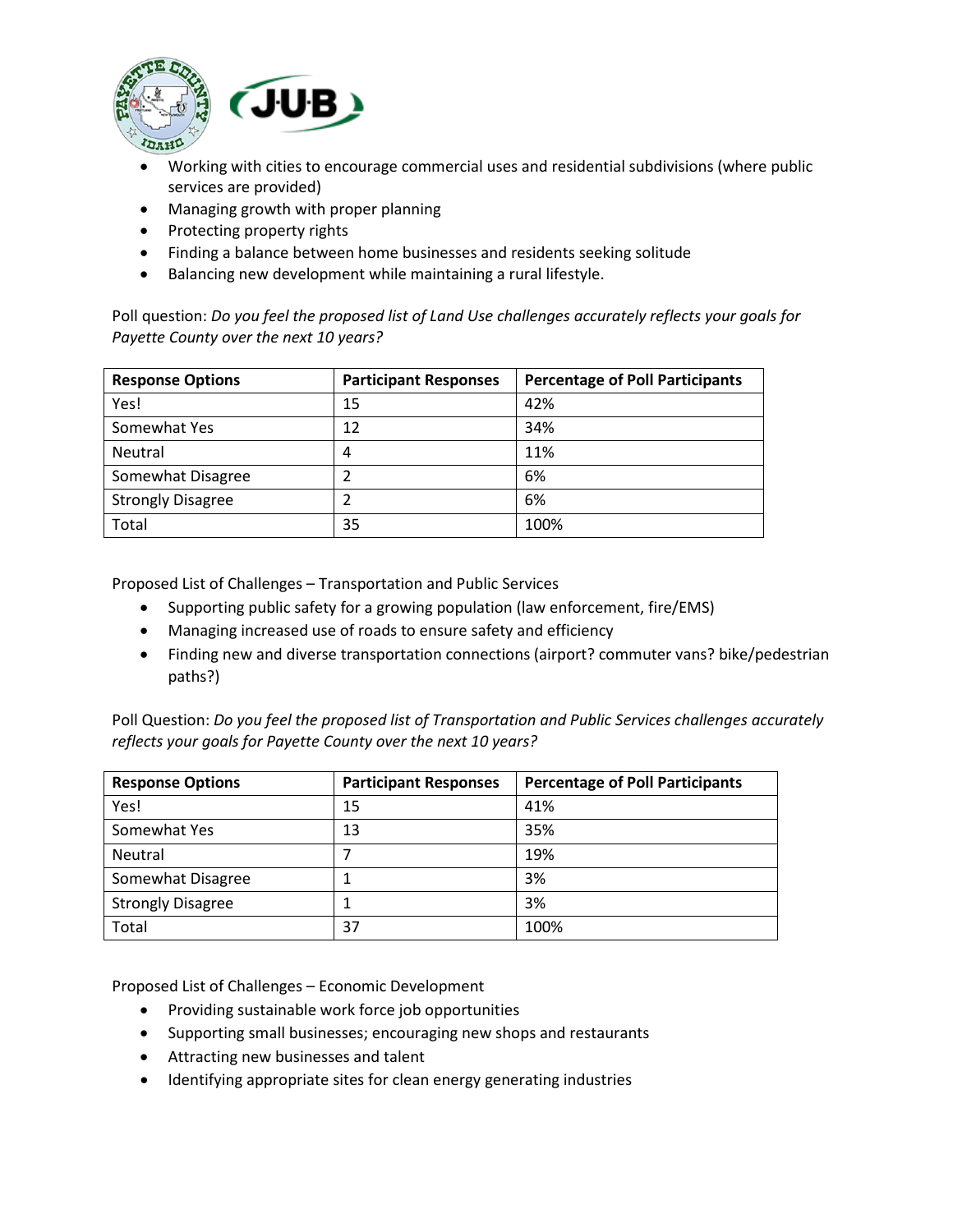

- Working with cities to encourage commercial uses and residential subdivisions (where public services are provided)
- Managing growth with proper planning
- Protecting property rights
- Finding a balance between home businesses and residents seeking solitude
- Balancing new development while maintaining a rural lifestyle.

Poll question: *Do you feel the proposed list of Land Use challenges accurately reflects your goals for Payette County over the next 10 years?*

| <b>Response Options</b>  | <b>Participant Responses</b> | <b>Percentage of Poll Participants</b> |
|--------------------------|------------------------------|----------------------------------------|
| Yes!                     | 15                           | 42%                                    |
| Somewhat Yes             | 12                           | 34%                                    |
| Neutral                  | 4                            | 11%                                    |
| Somewhat Disagree        |                              | 6%                                     |
| <b>Strongly Disagree</b> |                              | 6%                                     |
| Total                    | 35                           | 100%                                   |

Proposed List of Challenges – Transportation and Public Services

- Supporting public safety for a growing population (law enforcement, fire/EMS)
- Managing increased use of roads to ensure safety and efficiency
- Finding new and diverse transportation connections (airport? commuter vans? bike/pedestrian paths?)

Poll Question: *Do you feel the proposed list of Transportation and Public Services challenges accurately reflects your goals for Payette County over the next 10 years?*

| <b>Response Options</b>  | <b>Participant Responses</b> | <b>Percentage of Poll Participants</b> |
|--------------------------|------------------------------|----------------------------------------|
| Yes!                     | 15                           | 41%                                    |
| Somewhat Yes             | 13                           | 35%                                    |
| Neutral                  |                              | 19%                                    |
| Somewhat Disagree        |                              | 3%                                     |
| <b>Strongly Disagree</b> |                              | 3%                                     |
| Total                    | 37                           | 100%                                   |

Proposed List of Challenges – Economic Development

- Providing sustainable work force job opportunities
- Supporting small businesses; encouraging new shops and restaurants
- Attracting new businesses and talent
- Identifying appropriate sites for clean energy generating industries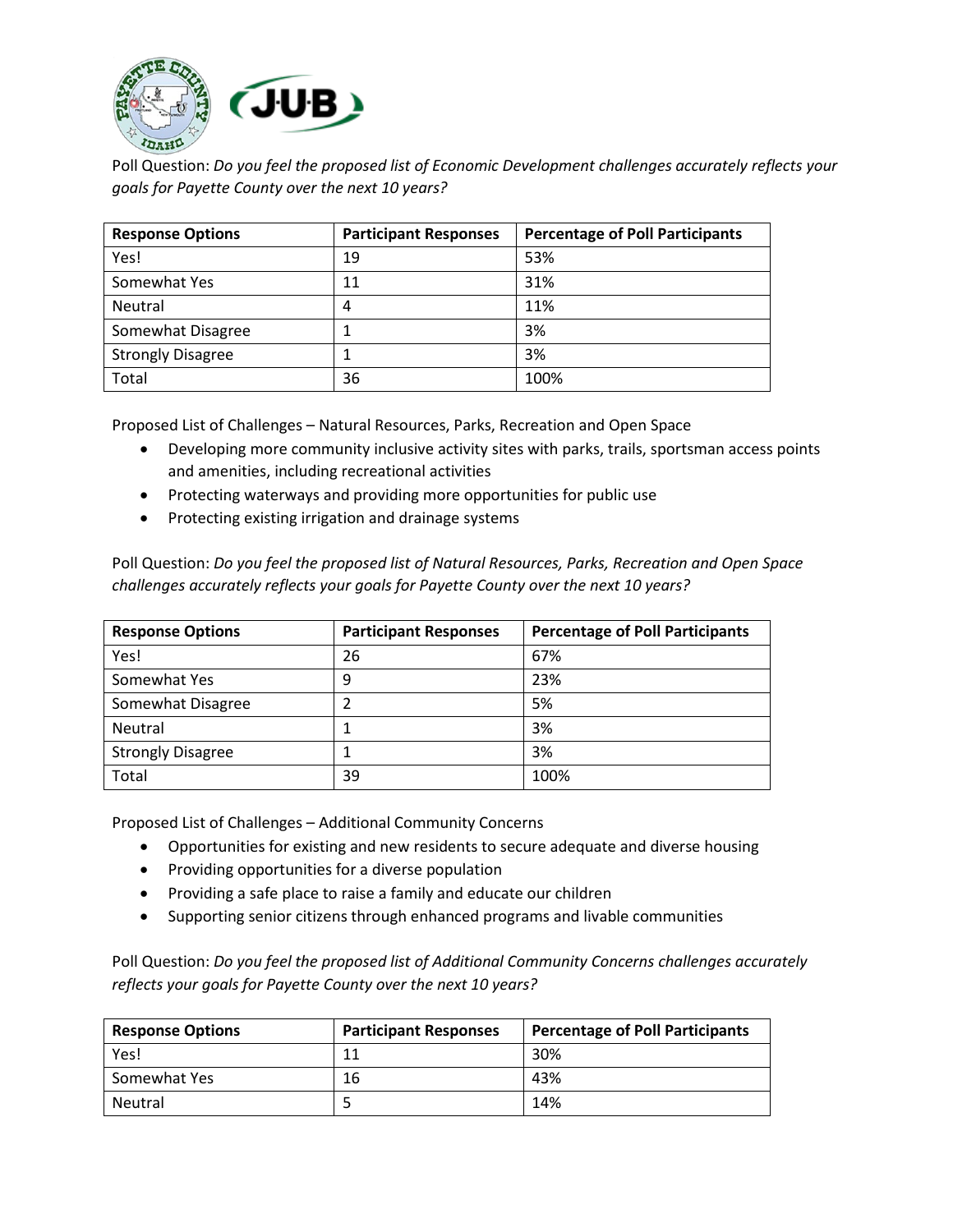

Poll Question: *Do you feel the proposed list of Economic Development challenges accurately reflects your goals for Payette County over the next 10 years?*

| <b>Response Options</b>  | <b>Participant Responses</b> | <b>Percentage of Poll Participants</b> |
|--------------------------|------------------------------|----------------------------------------|
| Yes!                     | 19                           | 53%                                    |
| Somewhat Yes             | 11                           | 31%                                    |
| Neutral                  | 4                            | 11%                                    |
| Somewhat Disagree        |                              | 3%                                     |
| <b>Strongly Disagree</b> |                              | 3%                                     |
| Total                    | 36                           | 100%                                   |

Proposed List of Challenges – Natural Resources, Parks, Recreation and Open Space

- Developing more community inclusive activity sites with parks, trails, sportsman access points and amenities, including recreational activities
- Protecting waterways and providing more opportunities for public use
- Protecting existing irrigation and drainage systems

Poll Question: *Do you feel the proposed list of Natural Resources, Parks, Recreation and Open Space challenges accurately reflects your goals for Payette County over the next 10 years?*

| <b>Response Options</b>  | <b>Participant Responses</b> | <b>Percentage of Poll Participants</b> |
|--------------------------|------------------------------|----------------------------------------|
| Yes!                     | 26                           | 67%                                    |
| Somewhat Yes             | 9                            | 23%                                    |
| Somewhat Disagree        | າ                            | 5%                                     |
| Neutral                  |                              | 3%                                     |
| <b>Strongly Disagree</b> |                              | 3%                                     |
| Total                    | 39                           | 100%                                   |

Proposed List of Challenges – Additional Community Concerns

- Opportunities for existing and new residents to secure adequate and diverse housing
- Providing opportunities for a diverse population
- Providing a safe place to raise a family and educate our children
- Supporting senior citizens through enhanced programs and livable communities

Poll Question: *Do you feel the proposed list of Additional Community Concerns challenges accurately reflects your goals for Payette County over the next 10 years?*

| <b>Response Options</b> | <b>Participant Responses</b> | <b>Percentage of Poll Participants</b> |
|-------------------------|------------------------------|----------------------------------------|
| Yes!                    | 11                           | 30%                                    |
| Somewhat Yes            | 16                           | 43%                                    |
| Neutral                 |                              | 14%                                    |